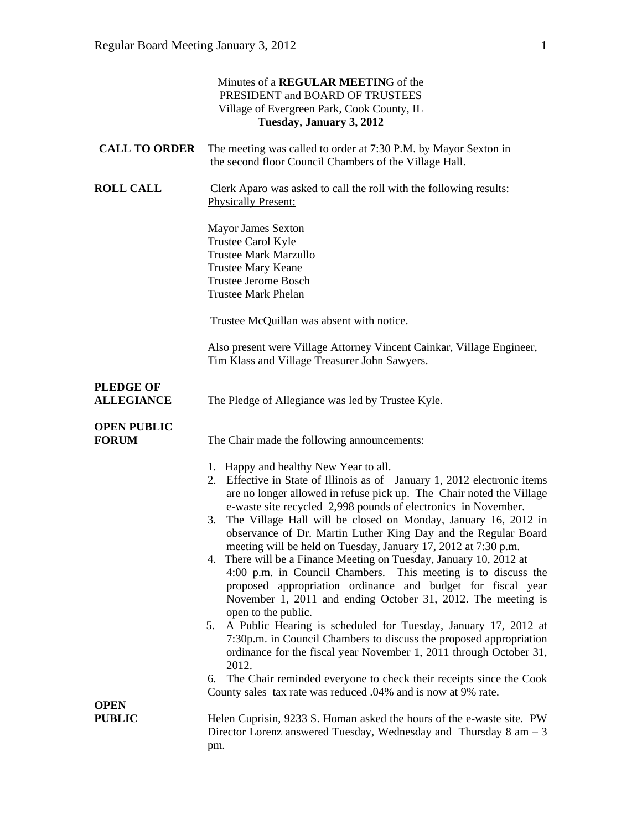|                                       | Minutes of a REGULAR MEETING of the<br>PRESIDENT and BOARD OF TRUSTEES<br>Village of Evergreen Park, Cook County, IL<br>Tuesday, January 3, 2012                                                                                                                                                                                                                                                                                                                                                                                                                                                                                                                                                                                                                                                                                                                                                                                                                                                                                                                                                                                               |
|---------------------------------------|------------------------------------------------------------------------------------------------------------------------------------------------------------------------------------------------------------------------------------------------------------------------------------------------------------------------------------------------------------------------------------------------------------------------------------------------------------------------------------------------------------------------------------------------------------------------------------------------------------------------------------------------------------------------------------------------------------------------------------------------------------------------------------------------------------------------------------------------------------------------------------------------------------------------------------------------------------------------------------------------------------------------------------------------------------------------------------------------------------------------------------------------|
| <b>CALL TO ORDER</b>                  | The meeting was called to order at 7:30 P.M. by Mayor Sexton in<br>the second floor Council Chambers of the Village Hall.                                                                                                                                                                                                                                                                                                                                                                                                                                                                                                                                                                                                                                                                                                                                                                                                                                                                                                                                                                                                                      |
| <b>ROLL CALL</b>                      | Clerk Aparo was asked to call the roll with the following results:<br><b>Physically Present:</b>                                                                                                                                                                                                                                                                                                                                                                                                                                                                                                                                                                                                                                                                                                                                                                                                                                                                                                                                                                                                                                               |
|                                       | Mayor James Sexton<br>Trustee Carol Kyle<br><b>Trustee Mark Marzullo</b><br><b>Trustee Mary Keane</b><br><b>Trustee Jerome Bosch</b><br><b>Trustee Mark Phelan</b>                                                                                                                                                                                                                                                                                                                                                                                                                                                                                                                                                                                                                                                                                                                                                                                                                                                                                                                                                                             |
|                                       | Trustee McQuillan was absent with notice.                                                                                                                                                                                                                                                                                                                                                                                                                                                                                                                                                                                                                                                                                                                                                                                                                                                                                                                                                                                                                                                                                                      |
|                                       | Also present were Village Attorney Vincent Cainkar, Village Engineer,<br>Tim Klass and Village Treasurer John Sawyers.                                                                                                                                                                                                                                                                                                                                                                                                                                                                                                                                                                                                                                                                                                                                                                                                                                                                                                                                                                                                                         |
| <b>PLEDGE OF</b><br><b>ALLEGIANCE</b> | The Pledge of Allegiance was led by Trustee Kyle.                                                                                                                                                                                                                                                                                                                                                                                                                                                                                                                                                                                                                                                                                                                                                                                                                                                                                                                                                                                                                                                                                              |
| <b>OPEN PUBLIC</b><br><b>FORUM</b>    | The Chair made the following announcements:                                                                                                                                                                                                                                                                                                                                                                                                                                                                                                                                                                                                                                                                                                                                                                                                                                                                                                                                                                                                                                                                                                    |
|                                       | 1. Happy and healthy New Year to all.<br>2. Effective in State of Illinois as of January 1, 2012 electronic items<br>are no longer allowed in refuse pick up. The Chair noted the Village<br>e-waste site recycled 2,998 pounds of electronics in November.<br>The Village Hall will be closed on Monday, January 16, 2012 in<br>3.<br>observance of Dr. Martin Luther King Day and the Regular Board<br>meeting will be held on Tuesday, January 17, 2012 at 7:30 p.m.<br>4. There will be a Finance Meeting on Tuesday, January 10, 2012 at<br>4:00 p.m. in Council Chambers. This meeting is to discuss the<br>proposed appropriation ordinance and budget for fiscal year<br>November 1, 2011 and ending October 31, 2012. The meeting is<br>open to the public.<br>A Public Hearing is scheduled for Tuesday, January 17, 2012 at<br>5.<br>7:30p.m. in Council Chambers to discuss the proposed appropriation<br>ordinance for the fiscal year November 1, 2011 through October 31,<br>2012.<br>The Chair reminded everyone to check their receipts since the Cook<br>6.<br>County sales tax rate was reduced .04% and is now at 9% rate. |
| <b>OPEN</b><br><b>PUBLIC</b>          | Helen Cuprisin, 9233 S. Homan asked the hours of the e-waste site. PW                                                                                                                                                                                                                                                                                                                                                                                                                                                                                                                                                                                                                                                                                                                                                                                                                                                                                                                                                                                                                                                                          |
|                                       | Director Lorenz answered Tuesday, Wednesday and Thursday $8 \text{ am} - 3$<br>pm.                                                                                                                                                                                                                                                                                                                                                                                                                                                                                                                                                                                                                                                                                                                                                                                                                                                                                                                                                                                                                                                             |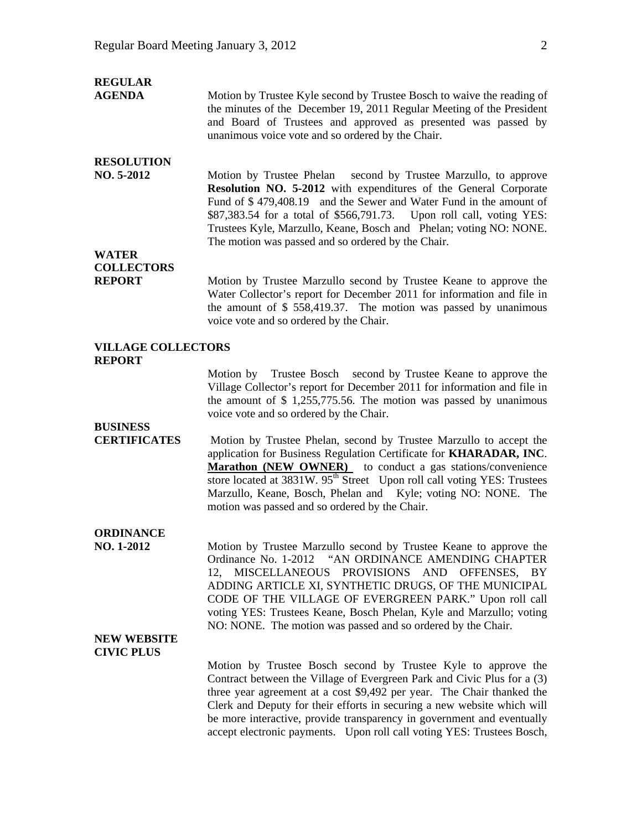| <b>REGULAR</b><br><b>AGENDA</b>                    | Motion by Trustee Kyle second by Trustee Bosch to waive the reading of<br>the minutes of the December 19, 2011 Regular Meeting of the President<br>and Board of Trustees and approved as presented was passed by<br>unanimous voice vote and so ordered by the Chair.                                                                                                                                                                             |
|----------------------------------------------------|---------------------------------------------------------------------------------------------------------------------------------------------------------------------------------------------------------------------------------------------------------------------------------------------------------------------------------------------------------------------------------------------------------------------------------------------------|
| <b>RESOLUTION</b><br>NO. 5-2012                    | Motion by Trustee Phelan second by Trustee Marzullo, to approve<br>Resolution NO. 5-2012 with expenditures of the General Corporate<br>Fund of \$479,408.19 and the Sewer and Water Fund in the amount of<br>\$87,383.54 for a total of \$566,791.73. Upon roll call, voting YES:<br>Trustees Kyle, Marzullo, Keane, Bosch and Phelan; voting NO: NONE.<br>The motion was passed and so ordered by the Chair.                                     |
| <b>WATER</b><br><b>COLLECTORS</b><br><b>REPORT</b> | Motion by Trustee Marzullo second by Trustee Keane to approve the<br>Water Collector's report for December 2011 for information and file in<br>the amount of $$558,419.37$ . The motion was passed by unanimous<br>voice vote and so ordered by the Chair.                                                                                                                                                                                        |
| <b>VILLAGE COLLECTORS</b><br><b>REPORT</b>         |                                                                                                                                                                                                                                                                                                                                                                                                                                                   |
|                                                    | Motion by Trustee Bosch second by Trustee Keane to approve the<br>Village Collector's report for December 2011 for information and file in<br>the amount of $$1,255,775.56$ . The motion was passed by unanimous<br>voice vote and so ordered by the Chair.                                                                                                                                                                                       |
| <b>BUSINESS</b><br><b>CERTIFICATES</b>             | Motion by Trustee Phelan, second by Trustee Marzullo to accept the<br>application for Business Regulation Certificate for KHARADAR, INC.<br>Marathon (NEW OWNER) to conduct a gas stations/convenience<br>store located at 3831W. 95 <sup>th</sup> Street Upon roll call voting YES: Trustees<br>Marzullo, Keane, Bosch, Phelan and Kyle; voting NO: NONE. The<br>motion was passed and so ordered by the Chair.                                  |
| <b>ORDINANCE</b><br>NO. 1-2012                     | Motion by Trustee Marzullo second by Trustee Keane to approve the<br>Ordinance No. 1-2012 "AN ORDINANCE AMENDING CHAPTER<br>MISCELLANEOUS PROVISIONS AND<br>OFFENSES,<br>12.<br>BY<br>ADDING ARTICLE XI, SYNTHETIC DRUGS, OF THE MUNICIPAL<br>CODE OF THE VILLAGE OF EVERGREEN PARK." Upon roll call<br>voting YES: Trustees Keane, Bosch Phelan, Kyle and Marzullo; voting<br>NO: NONE. The motion was passed and so ordered by the Chair.       |
| <b>NEW WEBSITE</b><br><b>CIVIC PLUS</b>            | Motion by Trustee Bosch second by Trustee Kyle to approve the<br>Contract between the Village of Evergreen Park and Civic Plus for a (3)<br>three year agreement at a cost \$9,492 per year. The Chair thanked the<br>Clerk and Deputy for their efforts in securing a new website which will<br>be more interactive, provide transparency in government and eventually<br>accept electronic payments. Upon roll call voting YES: Trustees Bosch, |